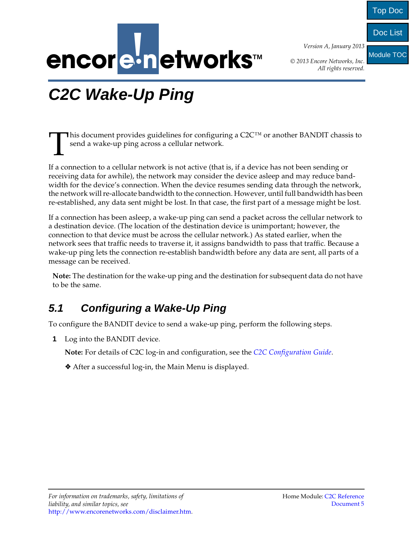

*Version A, January 2013*

Top Doc

Doc List

Module TOC

*© 2013 Encore Networks, Inc. All rights reserved.*

## <span id="page-0-1"></span><span id="page-0-0"></span>**C2C Wake-Up Ping**

This document provides guidelines for configuring a  $C2C^{TM}$  or another BANDIT chassis to send a wake-up ping across a cellular network. T

If a connection to a cellular network is not active (that is, if a device has not been sending or receiving data for awhile), the network may consider the device asleep and may reduce bandwidth for the device's connection. When the device resumes sending data through the network, the network will re-allocate bandwidth to the connection. However, until full bandwidth has been re-established, any data sent might be lost. In that case, the first part of a message might be lost.

If a connection has been asleep, a wake-up ping can send a packet across the cellular network to a destination device. (The location of the destination device is unimportant; however, the connection to that device must be across the cellular network.) As stated earlier, when the network sees that traffic needs to traverse it, it assigns bandwidth to pass that traffic. Because a wake-up ping lets the connection re-establish bandwidth before any data are sent, all parts of a message can be received.

**Note:** The destination for the wake-up ping and the destination for subsequent data do not have to be the same.

## **5.1 Configuring a Wake-Up Ping**

To configure the BANDIT device to send a wake-up ping, perform the following steps.

**1** Log into the BANDIT device.

**Note:** For details of C2C log-in and configuration, see the *[C2C Configuration Guide](#page-0-0)*.

❖ After a successful log-in, the Main Menu is displayed.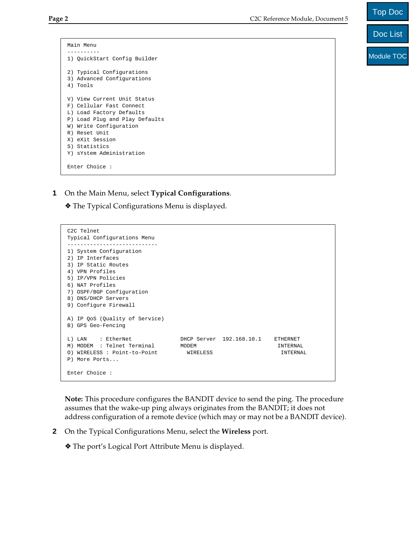Main Menu ---------- 1) QuickStart Config Builder 2) Typical Configurations 3) Advanced Configurations 4) Tools V) View Current Unit Status F) Cellular Fast Connect L) Load Factory Defaults P) Load Plug and Play Defaults W) Write Configuration R) Reset Unit X) eXit Session S) Statistics Y) sYstem Administration Enter Choice :

**1** On the Main Menu, select **Typical Configurations**.

❖ The Typical Configurations Menu is displayed.

**Note:** This procedure configures the BANDIT device to send the ping. The procedure assumes that the wake-up ping always originates from the BANDIT; it does not address configuration of a remote device (which may or may not be a BANDIT device). A) IP QoS (Quality of Service) B) GPS Geo-Fencing L) LAN : EtherNet DHCP Server 192.168.10.1 ETHERNET M) MODEM : Telnet Terminal MODEM INTERNAL O) WIRELESS : Point-to-Point WIRELESS INTERNAL P) More Ports... Enter Choice :

**2** On the Typical Configurations Menu, select the **Wireless** port.

❖ The port's Logical Port Attribute Menu is displayed.

|  | 2) Typical Configurations     |
|--|-------------------------------|
|  | 3) Advanced Configurations    |
|  | 4) Tools                      |
|  |                               |
|  | V) View Current Unit Status   |
|  | F) Cellular Fast Connect      |
|  | L) Load Factory Defaults      |
|  | P) Load Plug and Play Default |
|  | W) Write Configuration        |
|  | R) Reset Unit                 |
|  | X) eXit Session               |

Typical Configurations Menu ---------------------------- 1) System Configuration 2) IP Interfaces 3) IP Static Routes 4) VPN Profiles 5) IP/VPN Policies 6) NAT Profiles

7) OSPF/BGP Configuration 8) DNS/DHCP Servers 9) Configure Firewall

C2C Telnet

Doc List

Top Doc

Module TOC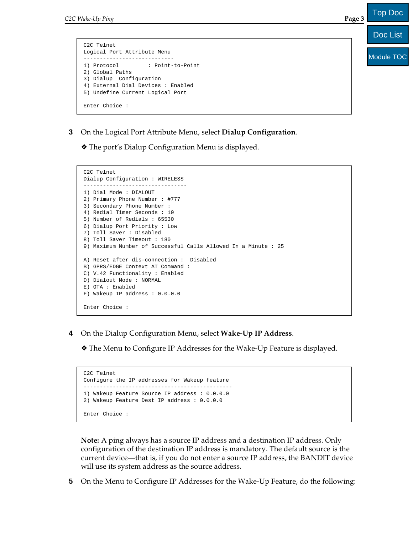```
C2C Telnet
Logical Port Attribute Menu
----------------------------
1) Protocol : Point-to-Point
2) Global Paths
3) Dialup Configuration
4) External Dial Devices : Enabled
5) Undefine Current Logical Port
Enter Choice :
```
**3** On the Logical Port Attribute Menu, select **Dialup Configuration**.

❖ The port's Dialup Configuration Menu is displayed.

```
C2C Telnet
Dialup Configuration : WIRELESS
--------------------------------
1) Dial Mode : DIALOUT
2) Primary Phone Number : #777
3) Secondary Phone Number : 
4) Redial Timer Seconds : 10
5) Number of Redials : 65530
6) Dialup Port Priority : Low
7) Toll Saver : Disabled
8) Toll Saver Timeout : 180
9) Maximum Number of Successful Calls Allowed In a Minute : 25
A) Reset after dis-connection : Disabled
B) GPRS/EDGE Context AT Command : 
C) V.42 Functionality : Enabled
D) Dialout Mode : NORMAL
E) OTA : Enabled
F) Wakeup IP address : 0.0.0.0
Enter Choice :
```
**4** On the Dialup Configuration Menu, select **Wake-Up IP Address**.

❖ The Menu to Configure IP Addresses for the Wake-Up Feature is displayed.

```
C2C Telnet
Configure the IP addresses for Wakeup feature
----------------------------------------------
1) Wakeup Feature Source IP address : 0.0.0.0
2) Wakeup Feature Dest IP address : 0.0.0.0
Enter Choice :
```
**Note:** A ping always has a source IP address and a destination IP address. Only configuration of the destination IP address is mandatory. The default source is the current device—that is, if you do not enter a source IP address, the BANDIT device will use its system address as the source address.

**5** On the Menu to Configure IP Addresses for the Wake-Up Feature, do the following:

Top Doc

Module TOC

Doc List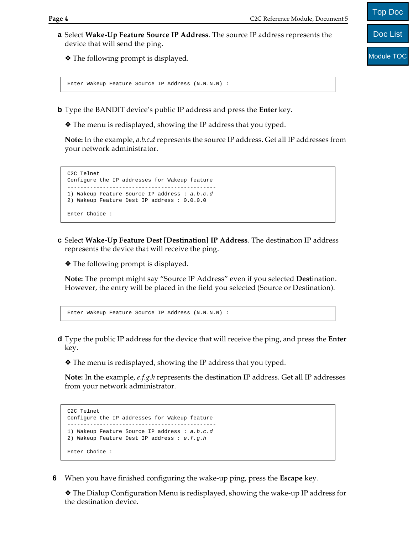**a** Select **Wake-Up Feature Source IP Address**. The source IP address represents the device that will send the ping.

❖ The following prompt is displayed.

Enter Wakeup Feature Source IP Address (N.N.N.N) :

- **b** Type the BANDIT device's public IP address and press the **Enter** key.
	- ❖ The menu is redisplayed, showing the IP address that you typed.

**Note:** In the example, *a.b.c.d* represents the source IP address. Get all IP addresses from your network administrator.

```
C2C Telnet
Configure the IP addresses for Wakeup feature
----------------------------------------------
1) Wakeup Feature Source IP address : a.b.c.d
2) Wakeup Feature Dest IP address : 0.0.0.0 
Enter Choice :
```
**c** Select **Wake-Up Feature Dest [Destination] IP Address**. The destination IP address represents the device that will receive the ping.

❖ The following prompt is displayed.

**Note:** The prompt might say "Source IP Address" even if you selected **Dest**ination. However, the entry will be placed in the field you selected (Source or Destination).

```
Enter Wakeup Feature Source IP Address (N.N.N.N) :
```
**d** Type the public IP address for the device that will receive the ping, and press the **Enter** key.

❖ The menu is redisplayed, showing the IP address that you typed.

**Note:** In the example, *e.f.g.h* represents the destination IP address. Get all IP addresses from your network administrator.

```
C2C Telnet
Configure the IP addresses for Wakeup feature
----------------------------------------------
1) Wakeup Feature Source IP address : a.b.c.d
2) Wakeup Feature Dest IP address : e.f.g.h
Enter Choice :
```
**6** When you have finished configuring the wake-up ping, press the **Escape** key.

❖ The Dialup Configuration Menu is redisplayed, showing the wake-up IP address for the destination device.

Module TOC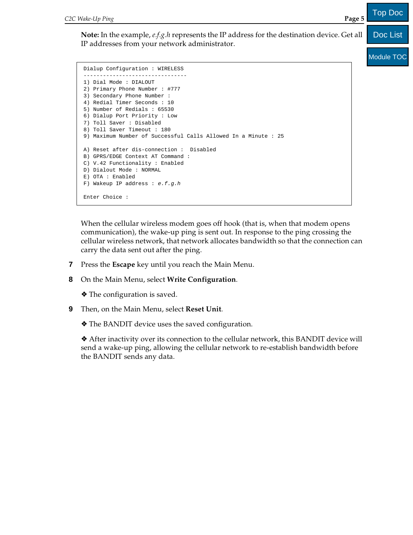**Note:** In the example, *e.f.g.h* represents the IP address for the destination device. Get all IP addresses from your network administrator. Doc List

Module TOC

Top Doc

```
Dialup Configuration : WIRELESS
--------------------------------
1) Dial Mode : DIALOUT
2) Primary Phone Number : #777
3) Secondary Phone Number : 
4) Redial Timer Seconds : 10
5) Number of Redials : 65530
6) Dialup Port Priority : Low
7) Toll Saver : Disabled
8) Toll Saver Timeout : 180
9) Maximum Number of Successful Calls Allowed In a Minute : 25
A) Reset after dis-connection : Disabled
B) GPRS/EDGE Context AT Command : 
C) V.42 Functionality : Enabled
D) Dialout Mode : NORMAL
E) OTA : Enabled
F) Wakeup IP address : e.f.g.h
Enter Choice :
```
When the cellular wireless modem goes off hook (that is, when that modem opens communication), the wake-up ping is sent out. In response to the ping crossing the cellular wireless network, that network allocates bandwidth so that the connection can carry the data sent out after the ping.

- **7** Press the **Escape** key until you reach the Main Menu.
- **8** On the Main Menu, select **Write Configuration**.

❖ The configuration is saved.

**9** Then, on the Main Menu, select **Reset Unit**.

❖ The BANDIT device uses the saved configuration.

❖ After inactivity over its connection to the cellular network, this BANDIT device will send a wake-up ping, allowing the cellular network to re-establish bandwidth before the BANDIT sends any data.